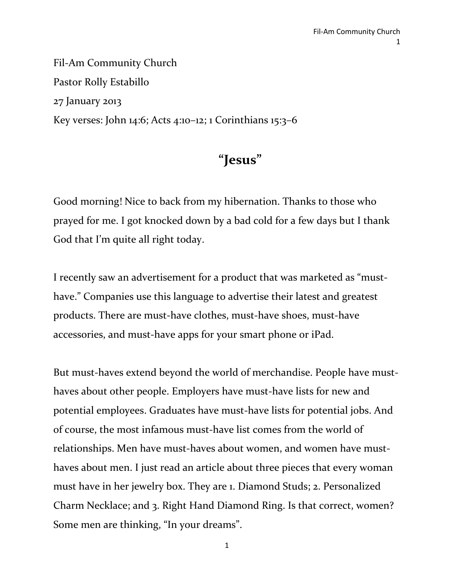Fil-Am Community Church Pastor Rolly Estabillo 27 January 2013 Key verses: John 14:6; Acts 4:10–12; 1 Corinthians 15:3–6

# **"Jesus"**

Good morning! Nice to back from my hibernation. Thanks to those who prayed for me. I got knocked down by a bad cold for a few days but I thank God that I'm quite all right today.

I recently saw an advertisement for a product that was marketed as "musthave." Companies use this language to advertise their latest and greatest products. There are must-have clothes, must-have shoes, must-have accessories, and must-have apps for your smart phone or iPad.

But must-haves extend beyond the world of merchandise. People have musthaves about other people. Employers have must-have lists for new and potential employees. Graduates have must-have lists for potential jobs. And of course, the most infamous must-have list comes from the world of relationships. Men have must-haves about women, and women have musthaves about men. I just read an article about three pieces that every woman must have in her jewelry box. They are 1. Diamond Studs; 2. Personalized Charm Necklace; and 3. Right Hand Diamond Ring. Is that correct, women? Some men are thinking, "In your dreams".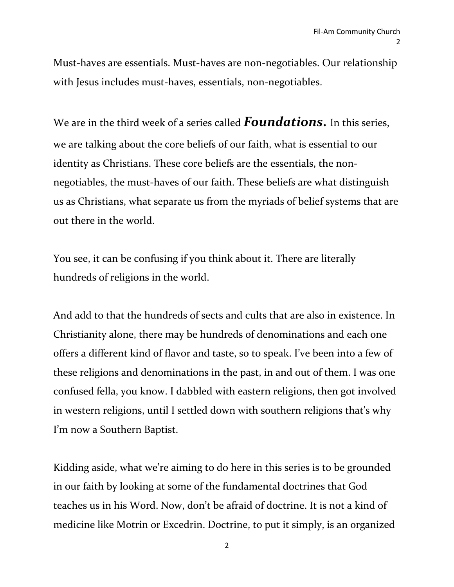Must-haves are essentials. Must-haves are non-negotiables. Our relationship with Jesus includes must-haves, essentials, non-negotiables.

We are in the third week of a series called *Foundations***.** In this series, we are talking about the core beliefs of our faith, what is essential to our identity as Christians. These core beliefs are the essentials, the nonnegotiables, the must-haves of our faith. These beliefs are what distinguish us as Christians, what separate us from the myriads of belief systems that are out there in the world.

You see, it can be confusing if you think about it. There are literally hundreds of religions in the world.

And add to that the hundreds of sects and cults that are also in existence. In Christianity alone, there may be hundreds of denominations and each one offers a different kind of flavor and taste, so to speak. I've been into a few of these religions and denominations in the past, in and out of them. I was one confused fella, you know. I dabbled with eastern religions, then got involved in western religions, until I settled down with southern religions that's why I'm now a Southern Baptist.

Kidding aside, what we're aiming to do here in this series is to be grounded in our faith by looking at some of the fundamental doctrines that God teaches us in his Word. Now, don't be afraid of doctrine. It is not a kind of medicine like Motrin or Excedrin. Doctrine, to put it simply, is an organized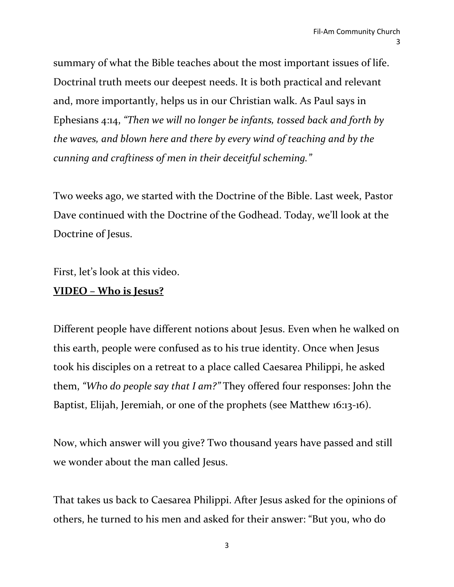summary of what the Bible teaches about the most important issues of life. Doctrinal truth meets our deepest needs. It is both practical and relevant and, more importantly, helps us in our Christian walk. As Paul says in Ephesians 4:14, *"Then we will no longer be infants, tossed back and forth by the waves, and blown here and there by every wind of teaching and by the cunning and craftiness of men in their deceitful scheming."*

Two weeks ago, we started with the Doctrine of the Bible. Last week, Pastor Dave continued with the Doctrine of the Godhead. Today, we'll look at the Doctrine of Jesus.

First, let's look at this video.

## **VIDEO – Who is Jesus?**

Different people have different notions about Jesus. Even when he walked on this earth, people were confused as to his true identity. Once when Jesus took his disciples on a retreat to a place called Caesarea Philippi, he asked them, *"Who do people say that I am?"* They offered four responses: John the Baptist, Elijah, Jeremiah, or one of the prophets (see Matthew 16:13-16).

Now, which answer will you give? Two thousand years have passed and still we wonder about the man called Jesus.

That takes us back to Caesarea Philippi. After Jesus asked for the opinions of others, he turned to his men and asked for their answer: "But you, who do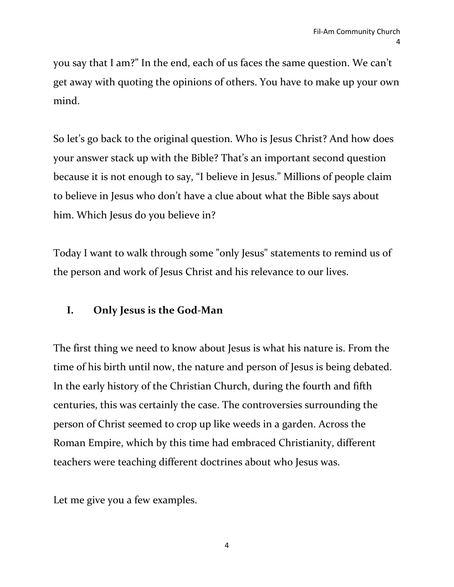you say that I am?" In the end, each of us faces the same question. We can't get away with quoting the opinions of others. You have to make up your own mind.

So let's go back to the original question. Who is Jesus Christ? And how does your answer stack up with the Bible? That's an important second question because it is not enough to say, "I believe in Jesus." Millions of people claim to believe in Jesus who don't have a clue about what the Bible says about him. Which Jesus do you believe in?

Today I want to walk through some "only Jesus" statements to remind us of the person and work of Jesus Christ and his relevance to our lives.

## **I. Only Jesus is the God-Man**

The first thing we need to know about Jesus is what his nature is. From the time of his birth until now, the nature and person of Jesus is being debated. In the early history of the Christian Church, during the fourth and fifth centuries, this was certainly the case. The controversies surrounding the person of Christ seemed to crop up like weeds in a garden. Across the Roman Empire, which by this time had embraced Christianity, different teachers were teaching different doctrines about who Jesus was.

Let me give you a few examples.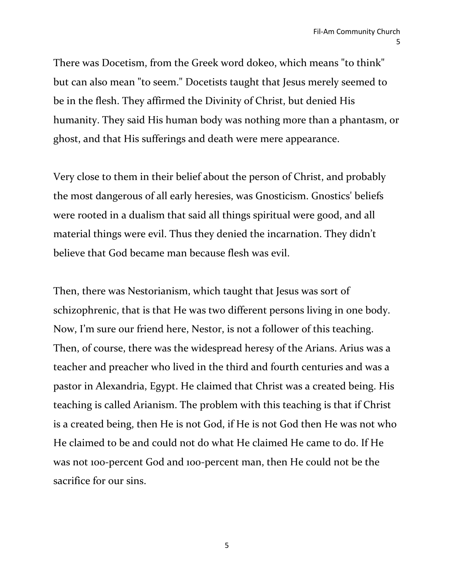There was Docetism, from the Greek word dokeo, which means "to think" but can also mean "to seem." Docetists taught that Jesus merely seemed to be in the flesh. They affirmed the Divinity of Christ, but denied His humanity. They said His human body was nothing more than a phantasm, or ghost, and that His sufferings and death were mere appearance.

Very close to them in their belief about the person of Christ, and probably the most dangerous of all early heresies, was Gnosticism. Gnostics' beliefs were rooted in a dualism that said all things spiritual were good, and all material things were evil. Thus they denied the incarnation. They didn't believe that God became man because flesh was evil.

Then, there was Nestorianism, which taught that Jesus was sort of schizophrenic, that is that He was two different persons living in one body. Now, I'm sure our friend here, Nestor, is not a follower of this teaching. Then, of course, there was the widespread heresy of the Arians. Arius was a teacher and preacher who lived in the third and fourth centuries and was a pastor in Alexandria, Egypt. He claimed that Christ was a created being. His teaching is called Arianism. The problem with this teaching is that if Christ is a created being, then He is not God, if He is not God then He was not who He claimed to be and could not do what He claimed He came to do. If He was not 100-percent God and 100-percent man, then He could not be the sacrifice for our sins.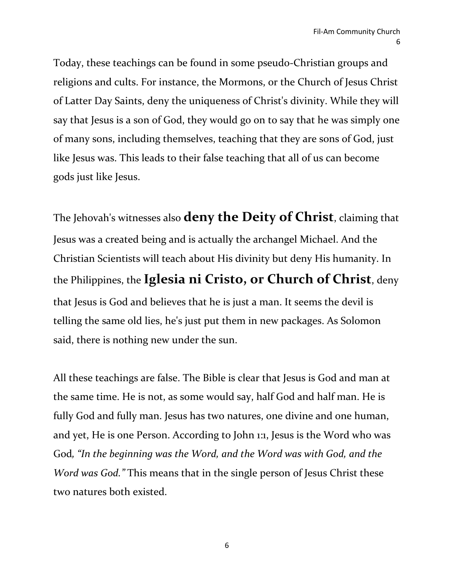Today, these teachings can be found in some pseudo-Christian groups and religions and cults. For instance, the Mormons, or the Church of Jesus Christ of Latter Day Saints, deny the uniqueness of Christ's divinity. While they will say that Jesus is a son of God, they would go on to say that he was simply one of many sons, including themselves, teaching that they are sons of God, just like Jesus was. This leads to their false teaching that all of us can become gods just like Jesus.

The Jehovah's witnesses also **deny the Deity of Christ**, claiming that Jesus was a created being and is actually the archangel Michael. And the Christian Scientists will teach about His divinity but deny His humanity. In the Philippines, the **Iglesia ni Cristo, or Church of Christ**, deny that Jesus is God and believes that he is just a man. It seems the devil is telling the same old lies, he's just put them in new packages. As Solomon said, there is nothing new under the sun.

All these teachings are false. The Bible is clear that Jesus is God and man at the same time. He is not, as some would say, half God and half man. He is fully God and fully man. Jesus has two natures, one divine and one human, and yet, He is one Person. According to John 1:1, Jesus is the Word who was God*, "In the beginning was the Word, and the Word was with God, and the Word was God."* This means that in the single person of Jesus Christ these two natures both existed.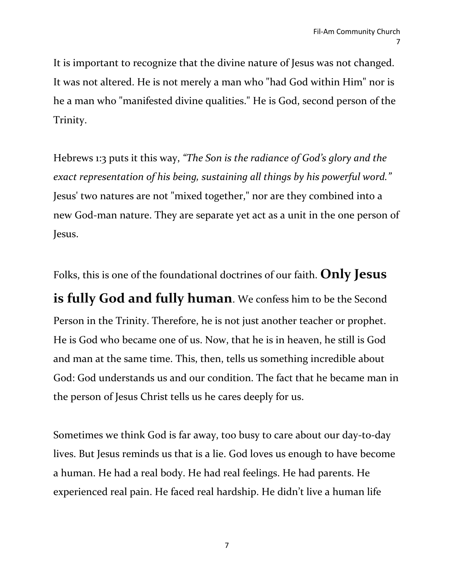It is important to recognize that the divine nature of Jesus was not changed. It was not altered. He is not merely a man who "had God within Him" nor is he a man who "manifested divine qualities." He is God, second person of the Trinity.

Hebrews 1:3 puts it this way, *"The Son is the radiance of God's glory and the exact representation of his being, sustaining all things by his powerful word."* Jesus' two natures are not "mixed together," nor are they combined into a new God-man nature. They are separate yet act as a unit in the one person of Jesus.

Folks, this is one of the foundational doctrines of our faith. **Only Jesus is fully God and fully human**. We confess him to be the Second Person in the Trinity. Therefore, he is not just another teacher or prophet. He is God who became one of us. Now, that he is in heaven, he still is God and man at the same time. This, then, tells us something incredible about God: God understands us and our condition. The fact that he became man in the person of Jesus Christ tells us he cares deeply for us.

Sometimes we think God is far away, too busy to care about our day-to-day lives. But Jesus reminds us that is a lie. God loves us enough to have become a human. He had a real body. He had real feelings. He had parents. He experienced real pain. He faced real hardship. He didn't live a human life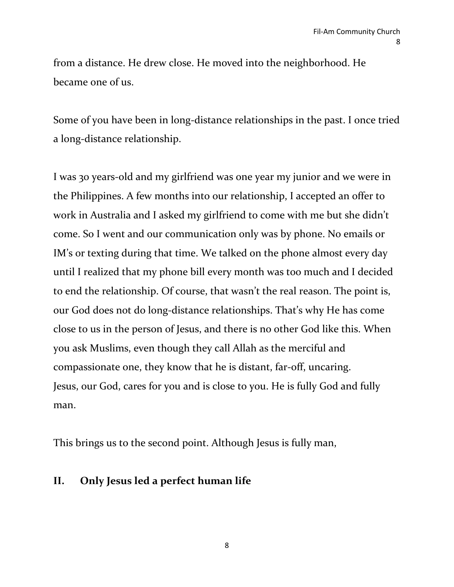from a distance. He drew close. He moved into the neighborhood. He became one of us.

Some of you have been in long-distance relationships in the past. I once tried a long-distance relationship.

I was 30 years-old and my girlfriend was one year my junior and we were in the Philippines. A few months into our relationship, I accepted an offer to work in Australia and I asked my girlfriend to come with me but she didn't come. So I went and our communication only was by phone. No emails or IM's or texting during that time. We talked on the phone almost every day until I realized that my phone bill every month was too much and I decided to end the relationship. Of course, that wasn't the real reason. The point is, our God does not do long-distance relationships. That's why He has come close to us in the person of Jesus, and there is no other God like this. When you ask Muslims, even though they call Allah as the merciful and compassionate one, they know that he is distant, far-off, uncaring. Jesus, our God, cares for you and is close to you. He is fully God and fully man.

This brings us to the second point. Although Jesus is fully man,

## **II. Only Jesus led a perfect human life**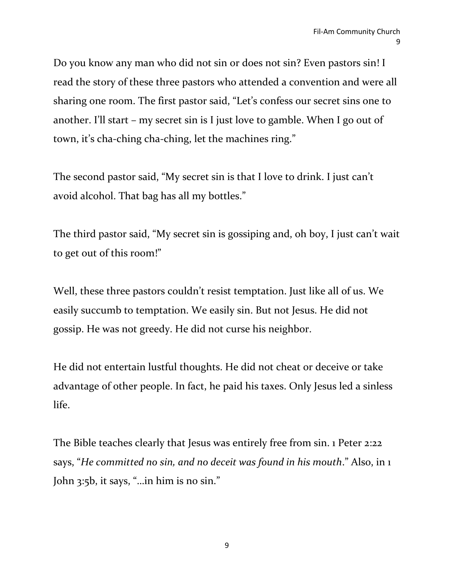Do you know any man who did not sin or does not sin? Even pastors sin! I read the story of these three pastors who attended a convention and were all sharing one room. The first pastor said, "Let's confess our secret sins one to another. I'll start – my secret sin is I just love to gamble. When I go out of town, it's cha-ching cha-ching, let the machines ring."

The second pastor said, "My secret sin is that I love to drink. I just can't avoid alcohol. That bag has all my bottles."

The third pastor said, "My secret sin is gossiping and, oh boy, I just can't wait to get out of this room!"

Well, these three pastors couldn't resist temptation. Just like all of us. We easily succumb to temptation. We easily sin. But not Jesus. He did not gossip. He was not greedy. He did not curse his neighbor.

He did not entertain lustful thoughts. He did not cheat or deceive or take advantage of other people. In fact, he paid his taxes. Only Jesus led a sinless life.

The Bible teaches clearly that Jesus was entirely free from sin. 1 Peter 2:22 says, "*He committed no sin, and no deceit was found in his mouth*." Also, in 1 John 3:5b, it says, "…in him is no sin."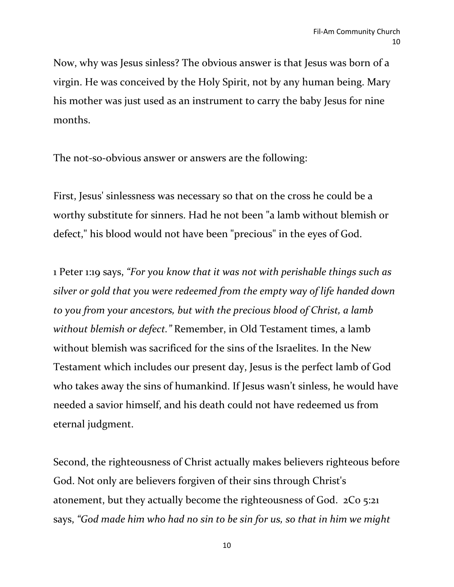Now, why was Jesus sinless? The obvious answer is that Jesus was born of a virgin. He was conceived by the Holy Spirit, not by any human being. Mary his mother was just used as an instrument to carry the baby Jesus for nine months.

The not-so-obvious answer or answers are the following:

First, Jesus' sinlessness was necessary so that on the cross he could be a worthy substitute for sinners. Had he not been "a lamb without blemish or defect," his blood would not have been "precious" in the eyes of God.

1 Peter 1:19 says, *"For you know that it was not with perishable things such as silver or gold that you were redeemed from the empty way of life handed down to you from your ancestors, but with the precious blood of Christ, a lamb without blemish or defect."* Remember, in Old Testament times, a lamb without blemish was sacrificed for the sins of the Israelites. In the New Testament which includes our present day, Jesus is the perfect lamb of God who takes away the sins of humankind. If Jesus wasn't sinless, he would have needed a savior himself, and his death could not have redeemed us from eternal judgment.

Second, the righteousness of Christ actually makes believers righteous before God. Not only are believers forgiven of their sins through Christ's atonement, but they actually become the righteousness of God. 2Co 5:21 says, *"God made him who had no sin to be sin for us, so that in him we might*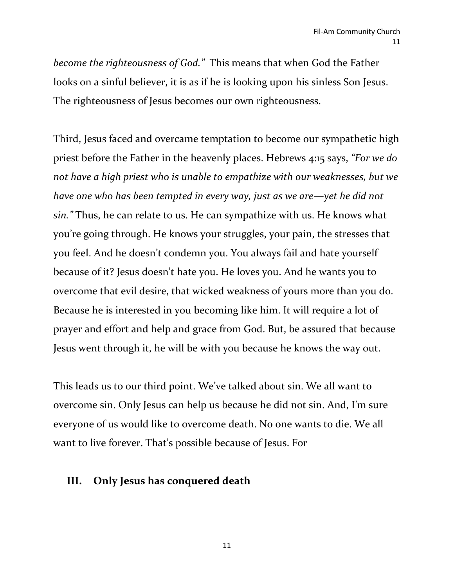*become the righteousness of God."* This means that when God the Father looks on a sinful believer, it is as if he is looking upon his sinless Son Jesus. The righteousness of Jesus becomes our own righteousness.

Third, Jesus faced and overcame temptation to become our sympathetic high priest before the Father in the heavenly places. Hebrews 4:15 says, *"For we do not have a high priest who is unable to empathize with our weaknesses, but we have one who has been tempted in every way, just as we are—yet he did not sin."* Thus, he can relate to us. He can sympathize with us. He knows what you're going through. He knows your struggles, your pain, the stresses that you feel. And he doesn't condemn you. You always fail and hate yourself because of it? Jesus doesn't hate you. He loves you. And he wants you to overcome that evil desire, that wicked weakness of yours more than you do. Because he is interested in you becoming like him. It will require a lot of prayer and effort and help and grace from God. But, be assured that because Jesus went through it, he will be with you because he knows the way out.

This leads us to our third point. We've talked about sin. We all want to overcome sin. Only Jesus can help us because he did not sin. And, I'm sure everyone of us would like to overcome death. No one wants to die. We all want to live forever. That's possible because of Jesus. For

#### **III. Only Jesus has conquered death**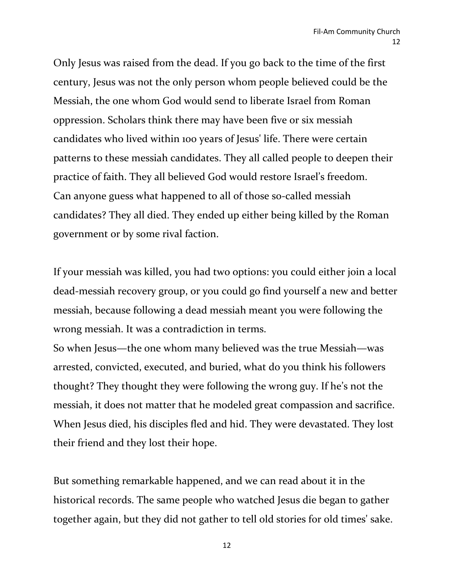Only Jesus was raised from the dead. If you go back to the time of the first century, Jesus was not the only person whom people believed could be the Messiah, the one whom God would send to liberate Israel from Roman oppression. Scholars think there may have been five or six messiah candidates who lived within 100 years of Jesus' life. There were certain patterns to these messiah candidates. They all called people to deepen their practice of faith. They all believed God would restore Israel's freedom. Can anyone guess what happened to all of those so-called messiah candidates? They all died. They ended up either being killed by the Roman government or by some rival faction.

If your messiah was killed, you had two options: you could either join a local dead-messiah recovery group, or you could go find yourself a new and better messiah, because following a dead messiah meant you were following the wrong messiah. It was a contradiction in terms.

So when Jesus—the one whom many believed was the true Messiah—was arrested, convicted, executed, and buried, what do you think his followers thought? They thought they were following the wrong guy. If he's not the messiah, it does not matter that he modeled great compassion and sacrifice. When Jesus died, his disciples fled and hid. They were devastated. They lost their friend and they lost their hope.

But something remarkable happened, and we can read about it in the historical records. The same people who watched Jesus die began to gather together again, but they did not gather to tell old stories for old times' sake.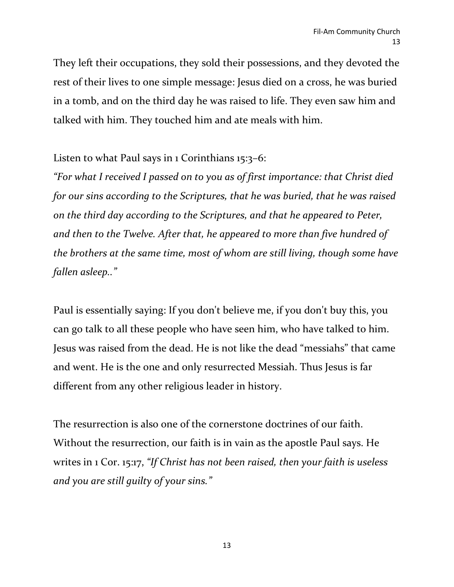They left their occupations, they sold their possessions, and they devoted the rest of their lives to one simple message: Jesus died on a cross, he was buried in a tomb, and on the third day he was raised to life. They even saw him and talked with him. They touched him and ate meals with him.

# Listen to what Paul says in 1 Corinthians 15:3–6:

*"For what I received I passed on to you as of first importance: that Christ died for our sins according to the Scriptures, that he was buried, that he was raised on the third day according to the Scriptures, and that he appeared to Peter, and then to the Twelve. After that, he appeared to more than five hundred of the brothers at the same time, most of whom are still living, though some have fallen asleep.."*

Paul is essentially saying: If you don't believe me, if you don't buy this, you can go talk to all these people who have seen him, who have talked to him. Jesus was raised from the dead. He is not like the dead "messiahs" that came and went. He is the one and only resurrected Messiah. Thus Jesus is far different from any other religious leader in history.

The resurrection is also one of the cornerstone doctrines of our faith. Without the resurrection, our faith is in vain as the apostle Paul says. He writes in 1 Cor. 15:17, *"If Christ has not been raised, then your faith is useless and you are still guilty of your sins."*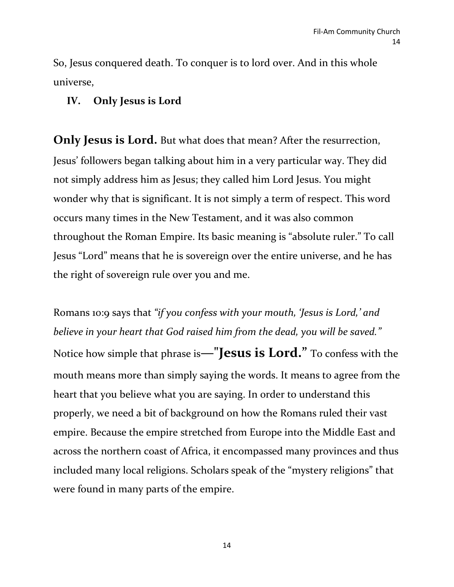So, Jesus conquered death. To conquer is to lord over. And in this whole universe,

# **IV. Only Jesus is Lord**

**Only Jesus is Lord.** But what does that mean? After the resurrection, Jesus' followers began talking about him in a very particular way. They did not simply address him as Jesus; they called him Lord Jesus. You might wonder why that is significant. It is not simply a term of respect. This word occurs many times in the New Testament, and it was also common throughout the Roman Empire. Its basic meaning is "absolute ruler." To call Jesus "Lord" means that he is sovereign over the entire universe, and he has the right of sovereign rule over you and me.

Romans 10:9 says that *"if you confess with your mouth, 'Jesus is Lord,' and believe in your heart that God raised him from the dead, you will be saved."* Notice how simple that phrase is**—"Jesus is Lord."** To confess with the mouth means more than simply saying the words. It means to agree from the heart that you believe what you are saying. In order to understand this properly, we need a bit of background on how the Romans ruled their vast empire. Because the empire stretched from Europe into the Middle East and across the northern coast of Africa, it encompassed many provinces and thus included many local religions. Scholars speak of the "mystery religions" that were found in many parts of the empire.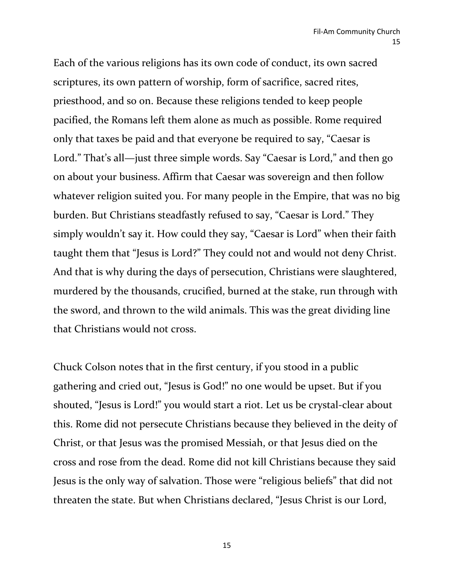Each of the various religions has its own code of conduct, its own sacred scriptures, its own pattern of worship, form of sacrifice, sacred rites, priesthood, and so on. Because these religions tended to keep people pacified, the Romans left them alone as much as possible. Rome required only that taxes be paid and that everyone be required to say, "Caesar is Lord." That's all—just three simple words. Say "Caesar is Lord," and then go on about your business. Affirm that Caesar was sovereign and then follow whatever religion suited you. For many people in the Empire, that was no big burden. But Christians steadfastly refused to say, "Caesar is Lord." They simply wouldn't say it. How could they say, "Caesar is Lord" when their faith taught them that "Jesus is Lord?" They could not and would not deny Christ. And that is why during the days of persecution, Christians were slaughtered, murdered by the thousands, crucified, burned at the stake, run through with the sword, and thrown to the wild animals. This was the great dividing line that Christians would not cross.

Chuck Colson notes that in the first century, if you stood in a public gathering and cried out, "Jesus is God!" no one would be upset. But if you shouted, "Jesus is Lord!" you would start a riot. Let us be crystal-clear about this. Rome did not persecute Christians because they believed in the deity of Christ, or that Jesus was the promised Messiah, or that Jesus died on the cross and rose from the dead. Rome did not kill Christians because they said Jesus is the only way of salvation. Those were "religious beliefs" that did not threaten the state. But when Christians declared, "Jesus Christ is our Lord,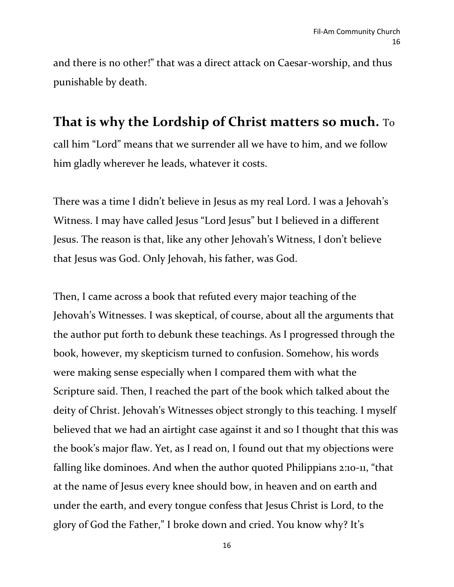and there is no other!" that was a direct attack on Caesar-worship, and thus punishable by death.

# **That is why the Lordship of Christ matters so much.** To

call him "Lord" means that we surrender all we have to him, and we follow him gladly wherever he leads, whatever it costs.

There was a time I didn't believe in Jesus as my real Lord. I was a Jehovah's Witness. I may have called Jesus "Lord Jesus" but I believed in a different Jesus. The reason is that, like any other Jehovah's Witness, I don't believe that Jesus was God. Only Jehovah, his father, was God.

Then, I came across a book that refuted every major teaching of the Jehovah's Witnesses. I was skeptical, of course, about all the arguments that the author put forth to debunk these teachings. As I progressed through the book, however, my skepticism turned to confusion. Somehow, his words were making sense especially when I compared them with what the Scripture said. Then, I reached the part of the book which talked about the deity of Christ. Jehovah's Witnesses object strongly to this teaching. I myself believed that we had an airtight case against it and so I thought that this was the book's major flaw. Yet, as I read on, I found out that my objections were falling like dominoes. And when the author quoted Philippians 2:10-11, "that at the name of Jesus every knee should bow, in heaven and on earth and under the earth, and every tongue confess that Jesus Christ is Lord, to the glory of God the Father," I broke down and cried. You know why? It's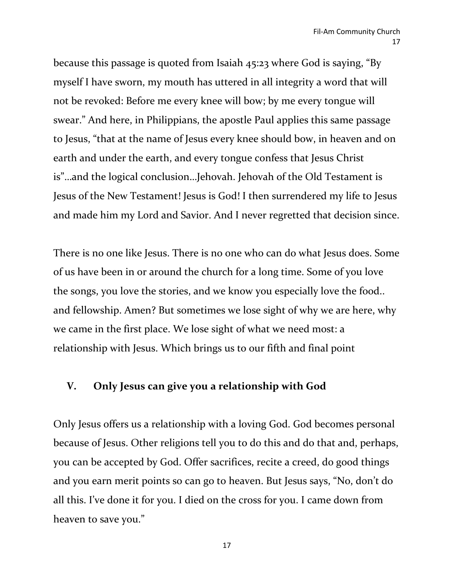because this passage is quoted from Isaiah 45:23 where God is saying, "By myself I have sworn, my mouth has uttered in all integrity a word that will not be revoked: Before me every knee will bow; by me every tongue will swear." And here, in Philippians, the apostle Paul applies this same passage to Jesus, "that at the name of Jesus every knee should bow, in heaven and on earth and under the earth, and every tongue confess that Jesus Christ is"…and the logical conclusion…Jehovah. Jehovah of the Old Testament is Jesus of the New Testament! Jesus is God! I then surrendered my life to Jesus and made him my Lord and Savior. And I never regretted that decision since.

There is no one like Jesus. There is no one who can do what Jesus does. Some of us have been in or around the church for a long time. Some of you love the songs, you love the stories, and we know you especially love the food.. and fellowship. Amen? But sometimes we lose sight of why we are here, why we came in the first place. We lose sight of what we need most: a relationship with Jesus. Which brings us to our fifth and final point

### **V. Only Jesus can give you a relationship with God**

Only Jesus offers us a relationship with a loving God. God becomes personal because of Jesus. Other religions tell you to do this and do that and, perhaps, you can be accepted by God. Offer sacrifices, recite a creed, do good things and you earn merit points so can go to heaven. But Jesus says, "No, don't do all this. I've done it for you. I died on the cross for you. I came down from heaven to save you."